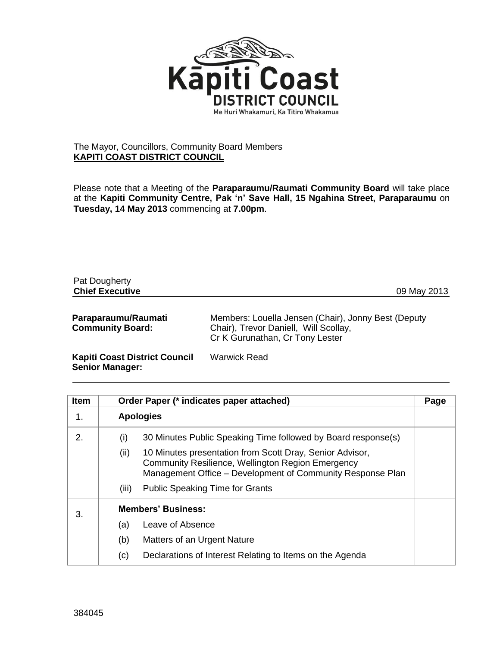

## The Mayor, Councillors, Community Board Members **KAPITI COAST DISTRICT COUNCIL**

Please note that a Meeting of the **Paraparaumu/Raumati Community Board** will take place at the **Kapiti Community Centre, Pak 'n' Save Hall, 15 Ngahina Street, Paraparaumu** on **Tuesday, 14 May 2013** commencing at **7.00pm**.

| Pat Dougherty<br><b>Chief Executive</b>                        | 09 May 2013                                                                                                                     |
|----------------------------------------------------------------|---------------------------------------------------------------------------------------------------------------------------------|
| Paraparaumu/Raumati<br><b>Community Board:</b>                 | Members: Louella Jensen (Chair), Jonny Best (Deputy<br>Chair), Trevor Daniell, Will Scollay,<br>Cr K Gurunathan, Cr Tony Lester |
| <b>Kapiti Coast District Council</b><br><b>Senior Manager:</b> | <b>Warwick Read</b>                                                                                                             |

| <b>Item</b> |                           | Order Paper (* indicates paper attached)                                                                                                                                    | Page |
|-------------|---------------------------|-----------------------------------------------------------------------------------------------------------------------------------------------------------------------------|------|
| 1.          |                           | <b>Apologies</b>                                                                                                                                                            |      |
| 2.          | (i)                       | 30 Minutes Public Speaking Time followed by Board response(s)                                                                                                               |      |
|             | (ii)                      | 10 Minutes presentation from Scott Dray, Senior Advisor,<br>Community Resilience, Wellington Region Emergency<br>Management Office - Development of Community Response Plan |      |
|             | (iii)                     | <b>Public Speaking Time for Grants</b>                                                                                                                                      |      |
| 3.          | <b>Members' Business:</b> |                                                                                                                                                                             |      |
|             | (a)                       | Leave of Absence                                                                                                                                                            |      |
|             | (b)                       | Matters of an Urgent Nature                                                                                                                                                 |      |
|             | (c)                       | Declarations of Interest Relating to Items on the Agenda                                                                                                                    |      |